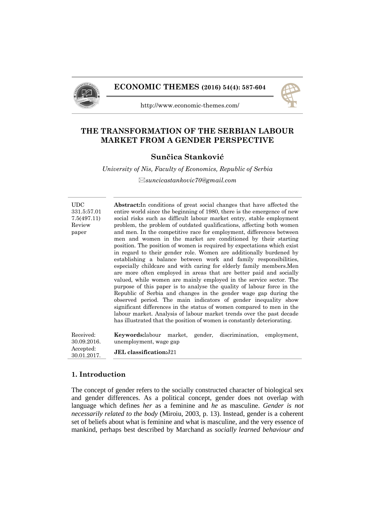



http://www.economic-themes.com/

# **THE TRANSFORMATION OF THE SERBIAN LABOUR MARKET FROM A GENDER PERSPECTIVE**

# **Sunčica Stanković**

*University of Nis, Faculty of Economics, Republic of Serbia*

*suncicastankovic70@gmail.com*

| UDC<br>331.5:57.01<br>7.5(497.11)<br>Review<br>paper | <b>Abstract:</b> In conditions of great social changes that have affected the<br>entire world since the beginning of 1980, there is the emergence of new<br>social risks such as difficult labour market entry, stable employment<br>problem, the problem of outdated qualifications, affecting both women<br>and men. In the competitive race for employment, differences between<br>men and women in the market are conditioned by their starting<br>position. The position of women is required by expectations which exist<br>in regard to their gender role. Women are additionally burdened by<br>establishing a balance between work and family responsibilities,<br>especially childcare and with caring for elderly family members. Men<br>are more often employed in areas that are better paid and socially<br>valued, while women are mainly employed in the service sector. The<br>purpose of this paper is to analyse the quality of labour force in the<br>Republic of Serbia and changes in the gender wage gap during the<br>observed period. The main indicators of gender inequality show<br>significant differences in the status of women compared to men in the<br>labour market. Analysis of labour market trends over the past decade |
|------------------------------------------------------|---------------------------------------------------------------------------------------------------------------------------------------------------------------------------------------------------------------------------------------------------------------------------------------------------------------------------------------------------------------------------------------------------------------------------------------------------------------------------------------------------------------------------------------------------------------------------------------------------------------------------------------------------------------------------------------------------------------------------------------------------------------------------------------------------------------------------------------------------------------------------------------------------------------------------------------------------------------------------------------------------------------------------------------------------------------------------------------------------------------------------------------------------------------------------------------------------------------------------------------------------------------|
|                                                      | has illustrated that the position of women is constantly deteriorating.                                                                                                                                                                                                                                                                                                                                                                                                                                                                                                                                                                                                                                                                                                                                                                                                                                                                                                                                                                                                                                                                                                                                                                                       |
| Received:<br>30.09.2016.                             | Keywords: labour market, gender, discrimination, employment,<br>unemployment, wage gap                                                                                                                                                                                                                                                                                                                                                                                                                                                                                                                                                                                                                                                                                                                                                                                                                                                                                                                                                                                                                                                                                                                                                                        |
| Accepted:<br>30.01.2017.                             | <b>JEL</b> classification: J21                                                                                                                                                                                                                                                                                                                                                                                                                                                                                                                                                                                                                                                                                                                                                                                                                                                                                                                                                                                                                                                                                                                                                                                                                                |

# **1. Introduction**

The concept of gender refers to the socially constructed character of biological sex and gender differences. As a political concept, gender does not overlap with language which defines *her* as a feminine and *he* as masculine. *Gender is not necessarily related to the body* (Miroiu, 2003, p. 13). Instead, gender is a coherent set of beliefs about what is feminine and what is masculine, and the very essence of mankind, perhaps best described by Marchand as *socially learned behaviour and*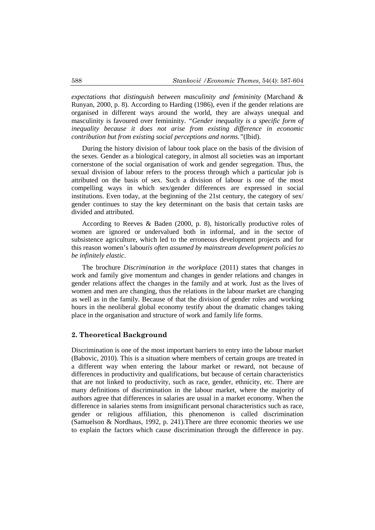*expectations that distinguish between masculinity and femininity* (Marchand & Runyan, 2000, p. 8). According to Harding (1986), even if the gender relations are organised in different ways around the world, they are always unequal and masculinity is favoured over femininity. *"Gender inequality is a specific form of inequality because it does not arise from existing difference in economic contribution but from existing social perceptions and norms."*(Ibid).

During the history division of labour took place on the basis of the division of the sexes. Gender as a biological category, in almost all societies was an important cornerstone of the social organisation of work and gender segregation. Thus, the sexual division of labour refers to the process through which a particular job is attributed on the basis of sex. Such a division of labour is one of the most compelling ways in which sex/gender differences are expressed in social institutions. Even today, at the beginning of the 21st century, the category of sex/ gender continues to stay the key determinant on the basis that certain tasks are divided and attributed.

According to Reeves & Baden (2000, p. 8), historically productive roles of women are ignored or undervalued both in informal, and in the sector of subsistence agriculture, which led to the erroneous development projects and for this reason women's labour*is often assumed by mainstream development policies to be infinitely elastic*.

The brochure *Discrimination in the workplace* (2011) states that changes in work and family give momentum and changes in gender relations and changes in gender relations affect the changes in the family and at work. Just as the lives of women and men are changing, thus the relations in the labour market are changing as well as in the family. Because of that the division of gender roles and working hours in the neoliberal global economy testify about the dramatic changes taking place in the organisation and structure of work and family life forms.

### **2. Theoretical Background**

Discrimination is one of the most important barriers to entry into the labour market (Babovic, 2010). This is a situation where members of certain groups are treated in a different way when entering the labour market or reward, not because of differences in productivity and qualifications, but because of certain characteristics that are not linked to productivity, such as race, gender, ethnicity, etc. There are many definitions of discrimination in the labour market, where the majority of authors agree that differences in salaries are usual in a market economy. When the difference in salaries stems from insignificant personal characteristics such as race, gender or religious affiliation, this phenomenon is called discrimination (Samuelson & Nordhaus, 1992, p. 241).There are three economic theories we use to explain the factors which cause discrimination through the difference in pay.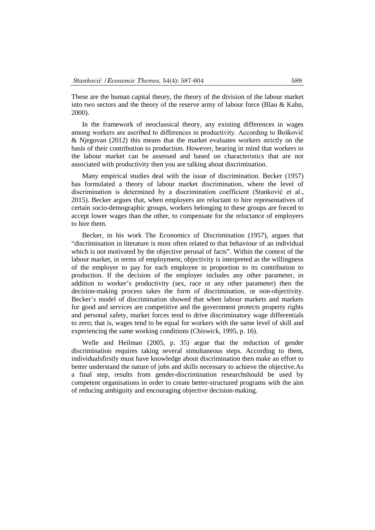These are the human capital theory, the theory of the division of the labour market into two sectors and the theory of the reserve army of labour force (Blau & Kahn, 2000).

In the framework of neoclassical theory, any existing differences in wages among workers are ascribed to differences in productivity. According to Bošković & Njegovan (2012) this means that the market evaluates workers strictly on the basis of their contribution to production. However, bearing in mind that workers in the labour market can be assessed and based on characteristics that are not associated with productivity then you are talking about discrimination.

Many empirical studies deal with the issue of discrimination. Becker (1957) has formulated a theory of labour market discrimination, where the level of discrimination is determined by a discrimination coefficient (Stanković et al., 2015). Becker argues that, when employers are reluctant to hire representatives of certain socio-demographic groups, workers belonging to these groups are forced to accept lower wages than the other, to compensate for the reluctance of employers to hire them.

Becker, in his work The Economics of Discrimination (1957), argues that "discrimination in literature is most often related to that behaviour of an individual which is not motivated by the objective perusal of facts". Within the context of the labour market, in terms of employment, objectivity is interpreted as the willingness of the employer to pay for each employee in proportion to its contribution to production. If the decision of the employer includes any other parameter, in addition to worker's productivity (sex, race or any other parameter) then the decision-making process takes the form of discrimination, or non-objectivity. Becker's model of discrimination showed that when labour markets and markets for good and services are competitive and the government protects property rights and personal safety, market forces tend to drive discriminatory wage differentials to zero; that is, wages tend to be equal for workers with the same level of skill and experiencing the same working conditions (Chiswick, 1995, p. 16).

Welle and Heilman (2005, p. 35) argue that the reduction of gender discrimination requires taking several simultaneous steps. According to them, individualsfirstly must have knowledge about discrimination then make an effort to better understand the nature of jobs and skills necessary to achieve the objective.As a final step, results from gender-discrimination researchshould be used by competent organisations in order to create better-structured programs with the aim of reducing ambiguity and encouraging objective decision-making.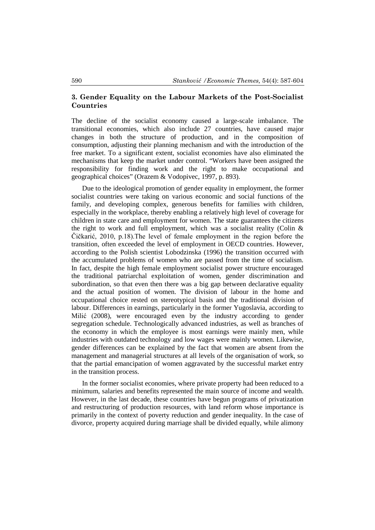## **3. Gender Equality on the Labour Markets of the Post-Socialist Countries**

The decline of the socialist economy caused a large-scale imbalance. The transitional economies, which also include 27 countries, have caused major changes in both the structure of production, and in the composition of consumption, adjusting their planning mechanism and with the introduction of the free market. To a significant extent, socialist economies have also eliminated the mechanisms that keep the market under control. "Workers have been assigned the responsibility for finding work and the right to make occupational and geographical choices" (Orazem & Vodopivec, 1997, p. 893).

Due to the ideological promotion of gender equality in employment, the former socialist countries were taking on various economic and social functions of the family, and developing complex, generous benefits for families with children, especially in the workplace, thereby enabling a relatively high level of coverage for children in state care and employment for women. The state guarantees the citizens the right to work and full employment, which was a socialist reality (Colin  $\&$ Čičkarić, 2010, p.18).The level of female employment in the region before the transition, often exceeded the level of employment in OECD countries. However, according to the Polish scientist Lobodzinska (1996) the transition occurred with the accumulated problems of women who are passed from the time of socialism. In fact, despite the high female employment socialist power structure encouraged the traditional patriarchal exploitation of women, gender discrimination and subordination, so that even then there was a big gap between declarative equality and the actual position of women. The division of labour in the home and occupational choice rested on stereotypical basis and the traditional division of labour. Differences in earnings, particularly in the former Yugoslavia, according to Milić (2008), were encouraged even by the industry according to gender segregation schedule. Technologically advanced industries, as well as branches of the economy in which the employee is most earnings were mainly men, while industries with outdated technology and low wages were mainly women. Likewise, gender differences can be explained by the fact that women are absent from the management and managerial structures at all levels of the organisation of work, so that the partial emancipation of women aggravated by the successful market entry in the transition process.

In the former socialist economies, where private property had been reduced to a minimum, salaries and benefits represented the main source of income and wealth. However, in the last decade, these countries have begun programs of privatization and restructuring of production resources, with land reform whose importance is primarily in the context of poverty reduction and gender inequality. In the case of divorce, property acquired during marriage shall be divided equally, while alimony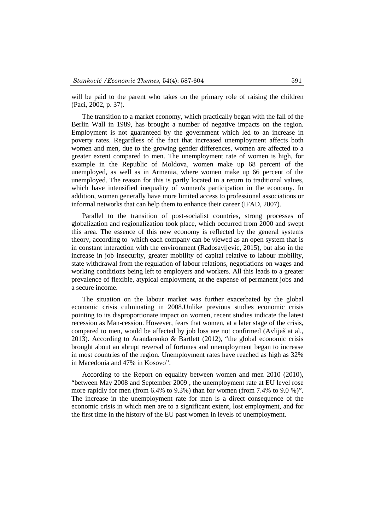will be paid to the parent who takes on the primary role of raising the children (Paci, 2002, p. 37).

The transition to a market economy, which practically began with the fall of the Berlin Wall in 1989, has brought a number of negative impacts on the region. Employment is not guaranteed by the government which led to an increase in poverty rates. Regardless of the fact that increased unemployment affects both women and men, due to the growing gender differences, women are affected to a greater extent compared to men. The unemployment rate of women is high, for example in the Republic of Moldova, women make up 68 percent of the unemployed, as well as in Armenia, where women make up 66 percent of the unemployed. The reason for this is partly located in a return to traditional values, which have intensified inequality of women's participation in the economy. In addition, women generally have more limited access to professional associations or informal networks that can help them to enhance their career (IFAD, 2007).

Parallel to the transition of post-socialist countries, strong processes of globalization and regionalization took place, which occurred from 2000 and swept this area. The essence of this new economy is reflected by the general systems theory, according to which each company can be viewed as an open system that is in constant interaction with the environment (Radosavljevic, 2015), but also in the increase in job insecurity, greater mobility of capital relative to labour mobility, state withdrawal from the regulation of labour relations, negotiations on wages and working conditions being left to employers and workers. All this leads to a greater prevalence of flexible, atypical employment, at the expense of permanent jobs and a secure income.

The situation on the labour market was further exacerbated by the global economic crisis culminating in 2008.Unlike previous studies economic crisis pointing to its disproportionate impact on women, recent studies indicate the latest recession as Man-cession. However, fears that women, at a later stage of the crisis, compared to men, would be affected by job loss are not confirmed (Avlijaš at al., 2013). According to Arandarenko & Bartlett (2012), "the global economic crisis brought about an abrupt reversal of fortunes and unemployment began to increase in most countries of the region. Unemployment rates have reached as high as 32% in Macedonia and 47% in Kosovo".

According to the Report on equality between women and men 2010 (2010), "between May 2008 and September 2009 , the unemployment rate at EU level rose more rapidly for men (from  $6.4\%$  to  $9.3\%$ ) than for women (from  $7.4\%$  to  $9.0\%$ )". The increase in the unemployment rate for men is a direct consequence of the economic crisis in which men are to a significant extent, lost employment, and for the first time in the history of the EU past women in levels of unemployment.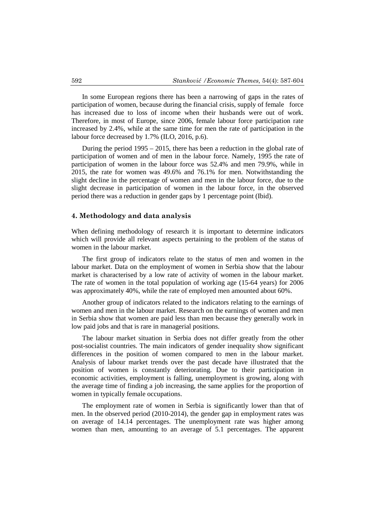In some European regions there has been a narrowing of gaps in the rates of participation of women, because during the financial crisis, supply of female force has increased due to loss of income when their husbands were out of work. Therefore, in most of Europe, since 2006, female labour force participation rate increased by 2.4%, while at the same time for men the rate of participation in the labour force decreased by 1.7% (ILO, 2016, p.6).

During the period 1995 – 2015, there has been a reduction in the global rate of participation of women and of men in the labour force. Namely, 1995 the rate of participation of women in the labour force was 52.4% and men 79.9%, while in 2015, the rate for women was 49.6% and 76.1% for men. Notwithstanding the slight decline in the percentage of women and men in the labour force, due to the slight decrease in participation of women in the labour force, in the observed period there was a reduction in gender gaps by 1 percentage point (Ibid).

### **4. Methodology and data analysis**

When defining methodology of research it is important to determine indicators which will provide all relevant aspects pertaining to the problem of the status of women in the labour market.

The first group of indicators relate to the status of men and women in the labour market. Data on the employment of women in Serbia show that the labour market is characterised by a low rate of activity of women in the labour market. The rate of women in the total population of working age (15-64 years) for 2006 was approximately 40%, while the rate of employed men amounted about 60%.

Another group of indicators related to the indicators relating to the earnings of women and men in the labour market. Research on the earnings of women and men in Serbia show that women are paid less than men because they generally work in low paid jobs and that is rare in managerial positions.

The labour market situation in Serbia does not differ greatly from the other post-socialist countries. The main indicators of gender inequality show significant differences in the position of women compared to men in the labour market. Analysis of labour market trends over the past decade have illustrated that the position of women is constantly deteriorating. Due to their participation in economic activities, employment is falling, unemployment is growing, along with the average time of finding a job increasing, the same applies for the proportion of women in typically female occupations.

The employment rate of women in Serbia is significantly lower than that of men. In the observed period (2010-2014), the gender gap in employment rates was on average of 14.14 percentages. The unemployment rate was higher among women than men, amounting to an average of 5.1 percentages. The apparent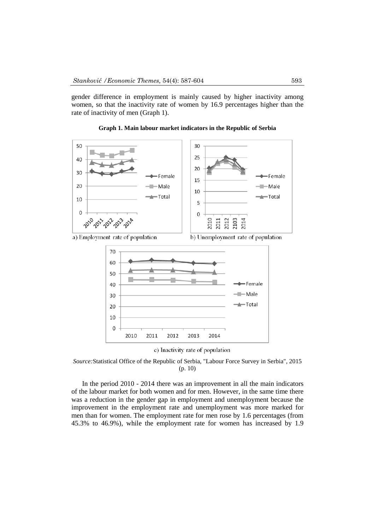gender difference in employment is mainly caused by higher inactivity among women, so that the inactivity rate of women by 16.9 percentages higher than the rate of inactivity of men (Graph 1).



**Graph 1. Main labour market indicators in the Republic of Serbia**

c) Inactivity rate of population

*Source:*Statistical Office of the Republic of Serbia, "Labour Force Survey in Serbia", 2015 (p. 10)

In the period 2010 - 2014 there was an improvement in all the main indicators of the labour market for both women and for men. However, in the same time there was a reduction in the gender gap in employment and unemployment because the improvement in the employment rate and unemployment was more marked for men than for women. The employment rate for men rose by 1.6 percentages (from 45.3% to 46.9%), while the employment rate for women has increased by 1.9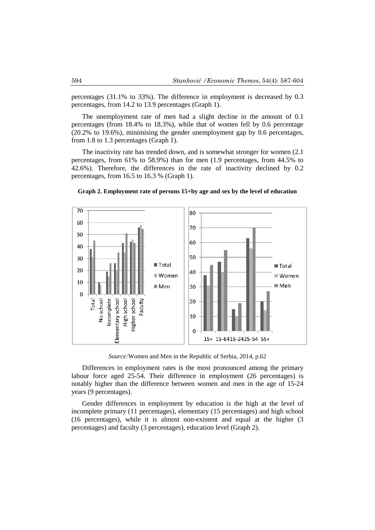percentages (31.1% to 33%). The difference in employment is decreased by 0.3 percentages, from 14.2 to 13.9 percentages (Graph 1).

The unemployment rate of men had a slight decline in the amount of 0.1 percentages (from 18.4% to 18.3%), while that of women fell by 0.6 percentage (20.2% to 19.6%), minimising the gender unemployment gap by 0.6 percentages, from 1.8 to 1.3 percentages (Graph 1).

The inactivity rate has trended down, and is somewhat stronger for women (2.1 percentages, from 61% to 58.9%) than for men (1.9 percentages, from 44.5% to 42.6%). Therefore, the differences in the rate of inactivity declined by 0.2 percentages, from 16.5 to 16.3 % (Graph 1).



**Graph 2. Employment rate of persons 15+by age and sex by the level of education**

*Source:*Women and Men in the Republic of Serbia, 2014, p.62

Differences in employment rates is the most pronounced among the primary labour force aged 25-54. Their difference in employment (26 percentages) is notably higher than the difference between women and men in the age of 15-24 years (9 percentages).

Gender differences in employment by education is the high at the level of incomplete primary (11 percentages), elementary (15 percentages) and high school (16 percentages), while it is almost non-existent and equal at the higher (3 percentages) and faculty (3 percentages), education level (Graph 2).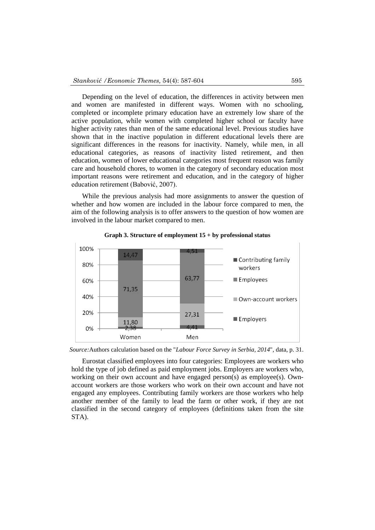Depending on the level of education, the differences in activity between men and women are manifested in different ways. Women with no schooling, completed or incomplete primary education have an extremely low share of the active population, while women with completed higher school or faculty have higher activity rates than men of the same educational level. Previous studies have shown that in the inactive population in different educational levels there are significant differences in the reasons for inactivity. Namely, while men, in all educational categories, as reasons of inactivity listed retirement, and then education, women of lower educational categories most frequent reason was family care and household chores, to women in the category of secondary education most important reasons were retirement and education, and in the category of higher education retirement (Babović, 2007).

While the previous analysis had more assignments to answer the question of whether and how women are included in the labour force compared to men, the aim of the following analysis is to offer answers to the question of how women are involved in the labour market compared to men.



#### **Graph 3. Structure of employment 15 + by professional status**

*Source:*Authors calculation based on the "*Labour Force Survey in Serbia, 2014*", data, p. 31.

Eurostat classified employees into four categories: Employees are workers who hold the type of job defined as paid employment jobs. Employers are workers who, working on their own account and have engaged person(s) as employee(s). Ownaccount workers are those workers who work on their own account and have not engaged any employees. Contributing family workers are those workers who help another member of the family to lead the farm or other work, if they are not classified in the second category of employees (definitions taken from the site STA).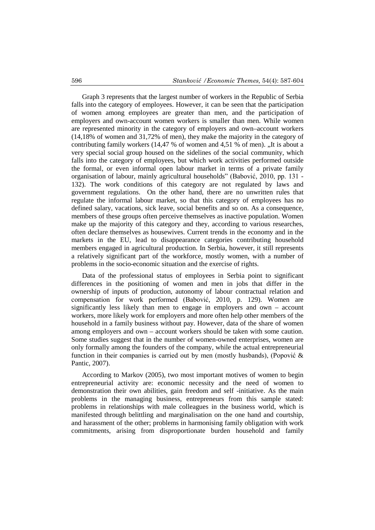Graph 3 represents that the largest number of workers in the Republic of Serbia falls into the category of employees. However, it can be seen that the participation of women among employees are greater than men, and the participation of employers and own-account women workers is smaller than men. While women are represented minority in the category of employers and own–account workers (14,18% of women and 31,72% of men), they make the majority in the category of contributing family workers  $(14.47 \%$  of women and  $4.51 \%$  of men). "It is about a very special social group housed on the sidelines of the social community, which falls into the category of employees, but which work activities performed outside the formal, or even informal open labour market in terms of a private family organisation of labour, mainly agricultural households" (Babović, 2010, pp. 131 - 132). The work conditions of this category are not regulated by laws and government regulations. On the other hand, there are no unwritten rules that regulate the informal labour market, so that this category of employees has no defined salary, vacations, sick leave, social benefits and so on. As a consequence, members of these groups often perceive themselves as inactive population. Women make up the majority of this category and they, according to various researches, often declare themselves as housewives. Current trends in the economy and in the markets in the EU, lead to disappearance categories contributing household members engaged in agricultural production. In Serbia, however, it still represents a relatively significant part of the workforce, mostly women, with a number of problems in the socio-economic situation and the exercise of rights.

Data of the professional status of employees in Serbia point to significant differences in the positioning of women and men in jobs that differ in the ownership of inputs of production, autonomy of labour contractual relation and compensation for work performed (Babović, 2010, p. 129). Women are significantly less likely than men to engage in employers and own – account workers, more likely work for employers and more often help other members of the household in a family business without pay. However, data of the share of women among employers and own – account workers should be taken with some caution. Some studies suggest that in the number of women-owned enterprises, women are only formally among the founders of the company, while the actual entrepreneurial function in their companies is carried out by men (mostly husbands), (Popović  $\&$ Pantic, 2007).

According to Markov (2005), two most important motives of women to begin entrepreneurial activity are: economic necessity and the need of women to demonstration their own abilities, gain freedom and self -initiative. As the main problems in the managing business, entrepreneurs from this sample stated: problems in relationships with male colleagues in the business world, which is manifested through belittling and marginalisation on the one hand and courtship, and harassment of the other; problems in harmonising family obligation with work commitments, arising from disproportionate burden household and family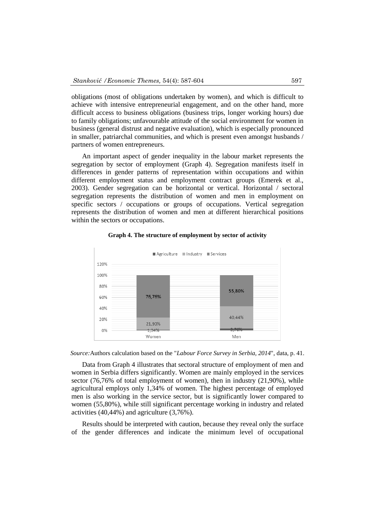obligations (most of obligations undertaken by women), and which is difficult to achieve with intensive entrepreneurial engagement, and on the other hand, more difficult access to business obligations (business trips, longer working hours) due to family obligations; unfavourable attitude of the social environment for women in business (general distrust and negative evaluation), which is especially pronounced in smaller, patriarchal communities, and which is present even amongst husbands / partners of women entrepreneurs.

An important aspect of gender inequality in the labour market represents the segregation by sector of employment (Graph 4). Segregation manifests itself in differences in gender patterns of representation within occupations and within different employment status and employment contract groups (Emerek et al., 2003). Gender segregation can be horizontal or vertical. Horizontal / sectoral segregation represents the distribution of women and men in employment on specific sectors / occupations or groups of occupations. Vertical segregation represents the distribution of women and men at different hierarchical positions within the sectors or occupations.



**Graph 4. The structure of employment by sector of activity**

*Source:*Authors calculation based on the "*Labour Force Survey in Serbia, 2014*", data, p. 41.

Data from Graph 4 illustrates that sectoral structure of employment of men and women in Serbia differs significantly. Women are mainly employed in the services sector (76,76% of total employment of women), then in industry (21,90%), while agricultural employs only 1,34% of women. The highest percentage of employed men is also working in the service sector, but is significantly lower compared to women (55,80%), while still significant percentage working in industry and related activities (40,44%) and agriculture (3,76%).

Results should be interpreted with caution, because they reveal only the surface of the gender differences and indicate the minimum level of occupational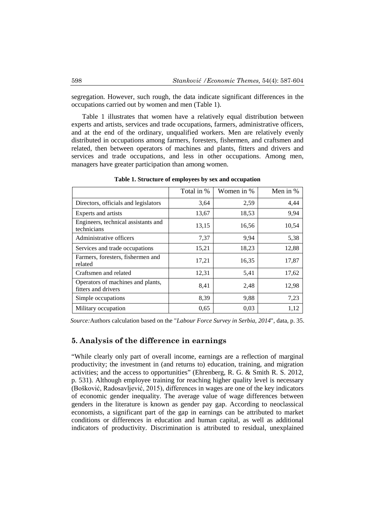segregation. However, such rough, the data indicate significant differences in the occupations carried out by women and men (Table 1).

Table 1 illustrates that women have a relatively equal distribution between experts and artists, services and trade occupations, farmers, administrative officers, and at the end of the ordinary, unqualified workers. Men are relatively evenly distributed in occupations among farmers, foresters, fishermen, and craftsmen and related, then between operators of machines and plants, fitters and drivers and services and trade occupations, and less in other occupations. Among men, managers have greater participation than among women.

|                                                          | Total in % | Women in % | Men in % |
|----------------------------------------------------------|------------|------------|----------|
| Directors, officials and legislators                     | 3,64       | 2,59       | 4,44     |
| Experts and artists                                      | 13,67      | 18,53      | 9,94     |
| Engineers, technical assistants and<br>technicians       | 13,15      | 16,56      | 10,54    |
| Administrative officers                                  | 7,37       | 9,94       | 5,38     |
| Services and trade occupations                           | 15,21      | 18,23      | 12,88    |
| Farmers, foresters, fishermen and<br>related             | 17,21      | 16,35      | 17,87    |
| Craftsmen and related                                    | 12,31      | 5,41       | 17,62    |
| Operators of machines and plants,<br>fitters and drivers | 8,41       | 2,48       | 12.98    |
| Simple occupations                                       | 8,39       | 9,88       | 7,23     |
| Military occupation                                      | 0,65       | 0.03       | 1,12     |

**Table 1. Structure of employees by sex and occupation**

*Source:*Authors calculation based on the "*Labour Force Survey in Serbia, 2014*", data, p. 35.

# **5. Analysis of the difference in earnings**

"While clearly only part of overall income, earnings are a reflection of marginal productivity; the investment in (and returns to) education, training, and migration activities; and the access to opportunities" (Ehrenberg, R. G. & Smith R. S. 2012, p. 531). Although employee training for reaching higher quality level is necessary (Bošković, Radosavljević, 2015), differences in wages are one of the key indicators of economic gender inequality. The average value of wage differences between genders in the literature is known as gender pay gap. According to neoclassical economists, a significant part of the gap in earnings can be attributed to market conditions or differences in education and human capital, as well as additional indicators of productivity. Discrimination is attributed to residual, unexplained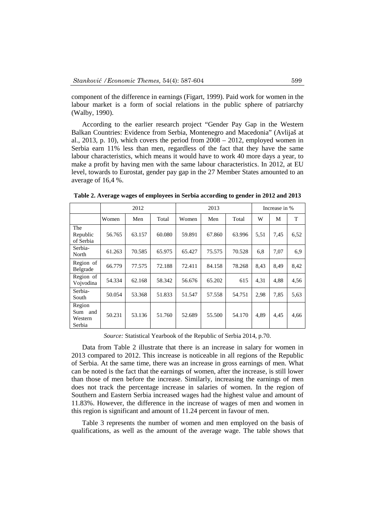component of the difference in earnings (Figart, 1999). Paid work for women in the labour market is a form of social relations in the public sphere of patriarchy (Walby, 1990).

According to the earlier research project "Gender Pay Gap in the Western Balkan Countries: Evidence from Serbia, Montenegro and Macedonia" (Avlijaš at al., 2013, p. 10), which covers the period from  $2008 - 2012$ , employed women in Serbia earn 11% less than men, regardless of the fact that they have the same labour characteristics, which means it would have to work 40 more days a year, to make a profit by having men with the same labour characteristics. In 2012, at EU level, towards to Eurostat, gender pay gap in the 27 Member States amounted to an average of 16,4 %.

|                                        | 2012   |        |        | 2013   |        |        | Increase in % |      |      |
|----------------------------------------|--------|--------|--------|--------|--------|--------|---------------|------|------|
|                                        | Women  | Men    | Total  | Women  | Men    | Total  | W             | М    | T    |
| The<br>Republic<br>of Serbia           | 56.765 | 63.157 | 60.080 | 59.891 | 67.860 | 63.996 | 5,51          | 7,45 | 6,52 |
| Serbia-<br>North                       | 61.263 | 70.585 | 65.975 | 65.427 | 75.575 | 70.528 | 6,8           | 7,07 | 6,9  |
| Region of<br>Belgrade                  | 66.779 | 77.575 | 72.188 | 72.411 | 84.158 | 78.268 | 8,43          | 8,49 | 8,42 |
| Region of<br>Vojvodina                 | 54.334 | 62.168 | 58.342 | 56.676 | 65.202 | 615    | 4,31          | 4,88 | 4,56 |
| Serbia-<br>South                       | 50.054 | 53.368 | 51.833 | 51.547 | 57.558 | 54.751 | 2,98          | 7,85 | 5,63 |
| Region<br>Sum and<br>Western<br>Serbia | 50.231 | 53.136 | 51.760 | 52.689 | 55.500 | 54.170 | 4,89          | 4,45 | 4,66 |

**Table 2. Average wages of employees in Serbia according to gender in 2012 and 2013**

*Source:* Statistical Yearbook of the Republic of Serbia 2014, p.70.

Data from Table 2 illustrate that there is an increase in salary for women in 2013 compared to 2012. This increase is noticeable in all regions of the Republic of Serbia. At the same time, there was an increase in gross earnings of men. What can be noted is the fact that the earnings of women, after the increase, is still lower than those of men before the increase. Similarly, increasing the earnings of men does not track the percentage increase in salaries of women. In the region of Southern and Eastern Serbia increased wages had the highest value and amount of 11.83%. However, the difference in the increase of wages of men and women in this region is significant and amount of 11.24 percent in favour of men.

Table 3 represents the number of women and men employed on the basis of qualifications, as well as the amount of the average wage. The table shows that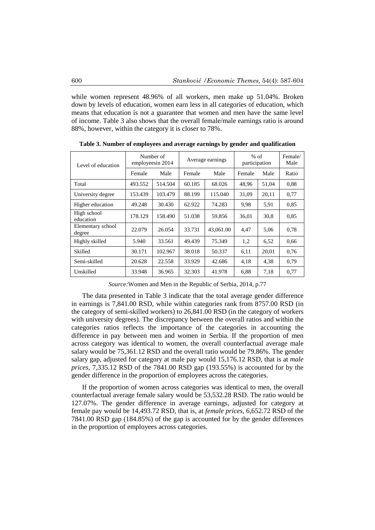while women represent 48.96% of all workers, men make up 51.04%. Broken down by levels of education, women earn less in all categories of education, which means that education is not a guarantee that women and men have the same level of income. Table 3 also shows that the overall female/male earnings ratio is around 88%, however, within the category it is closer to 78%.

| Level of education          | Number of<br>employeesin 2014 |         | Average earnings |           | $%$ of<br>participation |       | Female/<br>Male |
|-----------------------------|-------------------------------|---------|------------------|-----------|-------------------------|-------|-----------------|
|                             | Female                        | Male    | Female           | Male      | Female                  | Male  | Ratio           |
| Total                       | 493.552                       | 514.504 | 60.185           | 68.026    | 48,96                   | 51,04 | 0.88            |
| University degree           | 153.439                       | 103.479 | 88.199           | 115.040   | 31,09                   | 20,11 | 0,77            |
| Higher education            | 49.248                        | 30.430  | 62.922           | 74.283    | 9.98                    | 5,91  | 0.85            |
| High school<br>education    | 178.129                       | 158.490 | 51.038           | 59.856    | 36,01                   | 30,8  | 0.85            |
| Elementary school<br>degree | 22.079                        | 26.054  | 33.731           | 43,061.00 | 4,47                    | 5,06  | 0.78            |
| Highly skilled              | 5.940                         | 33.561  | 49.439           | 75.349    | 1,2                     | 6,52  | 0.66            |
| Skilled                     | 30.171                        | 102.967 | 38.018           | 50.337    | 6,11                    | 20,01 | 0.76            |
| Semi-skilled                | 20.628                        | 22.558  | 33.929           | 42.686    | 4,18                    | 4,38  | 0.79            |
| Unskilled                   | 33.948                        | 36.965  | 32.303           | 41.978    | 6,88                    | 7.18  | 0.77            |

**Table 3. Number of employees and average earnings by gender and qualification**

*Source:*Women and Men in the Republic of Serbia, 2014, p.77

The data presented in Table 3 indicate that the total average gender difference in earnings is 7,841.00 RSD, while within categories rank from 8757.00 RSD (in the category of semi-skilled workers) to 26,841.00 RSD (in the category of workers with university degrees). The discrepancy between the overall ratios and within the categories ratios reflects the importance of the categories in accounting the difference in pay between men and women in Serbia. If the proportion of men across category was identical to women, the overall counterfactual average male salary would be 75,361.12 RSD and the overall ratio would be 79.86%. The gender salary gap, adjusted for category at male pay would 15,176.12 RSD, that is at *male prices*, 7,335.12 RSD of the 7841.00 RSD gap (193.55%) is accounted for by the gender difference in the proportion of employees across the categories.

If the proportion of women across categories was identical to men, the overall counterfactual average female salary would be 53,532.28 RSD. The ratio would be 127.07%. The gender difference in average earnings, adjusted for category at female pay would be 14,493.72 RSD, that is, at *female prices*, 6,652.72 RSD of the 7841.00 RSD gap (184.85%) of the gap is accounted for by the gender differences in the proportion of employees across categories.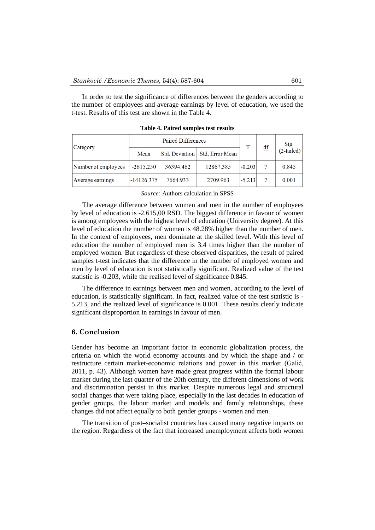In order to test the significance of differences between the genders according to the number of employees and average earnings by level of education, we used the t-test. Results of this test are shown in the Table 4.

|                     | <b>Paired Differences</b> |                |                 |          |                  | Sig.         |
|---------------------|---------------------------|----------------|-----------------|----------|------------------|--------------|
| Category            | Mean                      | Std. Deviation | Std. Error Mean |          | $\underline{df}$ | $(2-tailed)$ |
| Number of employees | $-2615.250$               | 36394.462      | 12867.385       | $-0.203$ |                  | 0.845        |
| Average earnings    | $-14126.375$              | 7664.933       | 2709.963        | $-5.213$ |                  | 0.001        |

**Table 4. Paired samples test results**

| <i>Source:</i> Authors calculation in SPSS |  |  |
|--------------------------------------------|--|--|
|--------------------------------------------|--|--|

The average difference between women and men in the number of employees by level of education is -2.615,00 RSD. The biggest difference in favour of women is among employees with the highest level of education (University degree). At this level of education the number of women is 48.28% higher than the number of men. In the context of employees, men dominate at the skilled level. With this level of education the number of employed men is 3.4 times higher than the number of employed women. But regardless of these observed disparities, the result of paired samples t-test indicates that the difference in the number of employed women and men by level of education is not statistically significant. Realized value of the test statistic is -0.203, while the realised level of significance 0.845.

The difference in earnings between men and women, according to the level of education, is statistically significant. In fact, realized value of the test statistic is - 5.213, and the realized level of significance is 0.001. These results clearly indicate significant disproportion in earnings in favour of men.

### **6. Conclusion**

Gender has become an important factor in economic globalization process, the criteria on which the world economy accounts and by which the shape and / or restructure certain market-economic relations and power in this market (Galić, 2011, p. 43). Although women have made great progress within the formal labour market during the last quarter of the 20th century, the different dimensions of work and discrimination persist in this market. Despite numerous legal and structural social changes that were taking place, especially in the last decades in education of gender groups, the labour market and models and family relationships, these changes did not affect equally to both gender groups - women and men.

The transition of post–socialist countries has caused many negative impacts on the region. Regardless of the fact that increased unemployment affects both women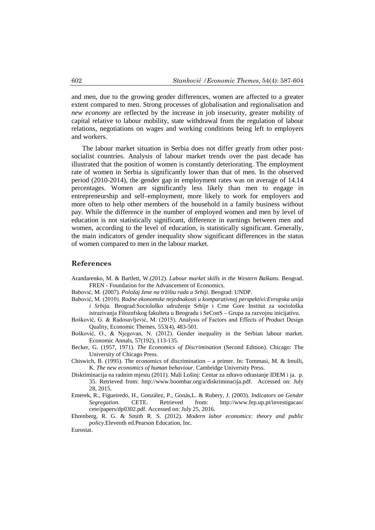and men, due to the growing gender differences, women are affected to a greater extent compared to men. Strong processes of globalisation and regionalisation and *new economy* are reflected by the increase in job insecurity, greater mobility of capital relative to labour mobility, state withdrawal from the regulation of labour relations, negotiations on wages and working conditions being left to employers and workers.

The labour market situation in Serbia does not differ greatly from other postsocialist countries. Analysis of labour market trends over the past decade has illustrated that the position of women is constantly deteriorating. The employment rate of women in Serbia is significantly lower than that of men. In the observed period (2010-2014), the gender gap in employment rates was on average of 14.14 percentages. Women are significantly less likely than men to engage in entrepreneurship and self–employment, more likely to work for employers and more often to help other members of the household in a family business without pay. While the difference in the number of employed women and men by level of education is not statistically significant, difference in earnings between men and women, according to the level of education, is statistically significant. Generally, the main indicators of gender inequality show significant differences in the status of women compared to men in the labour market.

### **References**

- Arandarenko, M. & Bartlett, W.(2012). *Labour market skills in the Western Balkans.* Beograd. FREN - Foundation for the Advancement of Economics.
- Babović, M. (2007). *Položaj žene na tržištu rada u Srbiji.* Beograd: UNDP.
- Babović, M. (2010). *Rodne ekonomske nejednakosti u komparativnoj perspektivi:Evropska unija i Srbija*. Beograd:Sociološko udruženje Srbije i Crne Gore Institut za sociološka istrazivanja Filozofskog fakulteta u Beogradu i SeConS – Grupa za razvojnu inicijativu.
- Bošković, G. & Radosavljević, M. (2015). Analysis of Factors and Effects of Product Design Quality, Economic Themes, 553(4), 483-501.
- Bošković, O., & Njegovan, N. (2012). Gender inequality in the Serbian labour market. Economic Annals, 57(192), 113-135.
- Becker, G. (1957, 1971). *The Economics of Discrimination* (Second Edition). Chicago: The University of Chicago Press.
- Chiswich, B. (1995). The economics of discrimination a primer. In: Tommasi, M. & Ireulli, K*. The new economics of human behaviour*. Cambridge University Press.
- Diskriminacija na radnim mjestu (2011). Mali Lošinj: Centar za zdravo odrastanje IDEM i ja. p. 35. Retrieved from: http://www.boombar.org/a/diskriminacija.pdf. Accessed on: July 28, 2015.
- Emerek, R., Figueiredo, H., González, P., Gonäs,L. & Rubery, J. (2003). *Indicators on Gender Segregation.* CETE. Retrieved from: http://www.fep.up.pt/investigacao/ cete/papers/dp0302.pdf. Accessed on: July 25, 2016.
- Ehrenberg, R. G. & Smith R. S. (2012). *Modern labor economics: theory and public policy*.Eleventh ed.Pearson Education, Inc.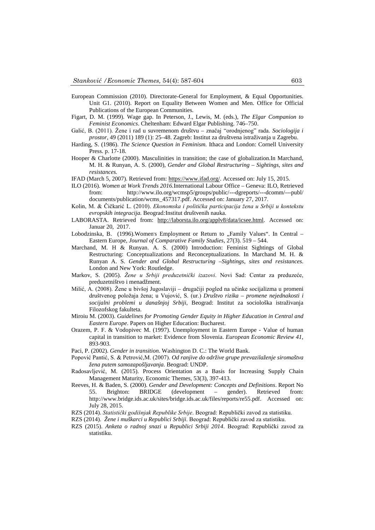- European Commission (2010). Directorate-General for Employment, & Equal Opportunities. Unit G1. (2010). Report on Equality Between Women and Men. Office for Official Publications of the European Communities*.*
- Figart, D. M. (1999). Wage gap. In Peterson, J., Lewis, M. (eds.), *The Elgar Companion to Feminist Economics*. Cheltenham: Edward Elgar Publishing. 746–750.
- Galić, B. (2011). Žene i rad u suvremenom društvu značaj "orodnjenog" rada. *Sociologija i prostor*, 49 (2011) 189 (1): 25–48. Zagreb: Institut za društvena istraživanja u Zagrebu.
- Harding, S. (1986). *The Science Question in Feminism.* Ithaca and London: Cornell University Press. p. 17-18.
- Hooper & Charlotte (2000). Masculinities in transition; the case of globalization.In Marchand, M. H. & Runyan, A. S. (2000), *Gender and Global Restructuring – Sightings, sites and resistances.*
- IFAD (March 5, 2007). Retrieved from: https://www.ifad.org/. Accessed on: July 15, 2015.
- ILO (2016). *Women at Work Trends 2016.*International Labour Office Geneva: ILO, Retrieved from: http://www.ilo.org/wcmsp5/groups/public/---dgreports/---dcomm/---publ/ documents/publication/wcms\_457317.pdf. Accessed on: January 27, 2017.
- Kolin, M. & Čičkarić L. (2010). *Ekonomska i politička participacija žena u Srbiji u kontekstu evropskih integracija.* Beograd*:*Institut društvenih nauka.
- LABORASTA. Retrieved from: http://laborsta.ilo.org/applv8/data/icsee.html. Accessed on: Januar 20, 2017.
- Lobodzinska, B. (1996). Women's Employment or Return to "Family Values". In Central -Eastern Europe*, Journal of Comparative Family Studies*, 27(3). 519 – 544.
- Marchand, M. H & Runyan. A. S. (2000) Introduction: Feminist Sightings of Global Restructuring: Conceptualizations and Reconceptualizations. In Marchand M. H. & Runyan A. S. *Gender and Global Restructuring –Sightings, sites and resistances*. London and New York: Routledge.
- Markov, S. (2005). *Žene u Srbiji preduzetnički izazovi*. Novi Sad: Centar za preduzeće, preduzetništvo i menadžment.
- Milić, A. (2008). Žene u bivšoj Jugoslaviji drugačiji pogled na učinke socijalizma u promeni društvenog položaja žena; u Vujović, S. (ur.) *Društvo rizika – promene nejednakosti i socijalni problemi u današnjoj Srbiji*, Beograd: Institut za sociološka istraživanja Filozofskog fakulteta.
- Miroiu M. (2003). *Guidelines for Promoting Gender Equity in Higher Education in Central and Eastern Europe*. Papers on Higher Education: Bucharest.
- Orazem, P. F. & Vodopivec M. (1997). Unemployment in Eastern Europe Value of human capital in transition to market: Evidence from Slovenia. *European Economic Review 41,* 893-903.
- Paci, P. (2002). *Gender in transition*. Washington D. C.: The World Bank.
- Popović Pantić, S. & Petrović,M. (2007). *Od ranjive do održive grupe prevazilaženje siromaštva žena putem samozapošljavanja.* Beograd: UNDP.
- Radosavljević, M. (2015). Process Orientation as a Basis for Increasing Supply Chain Management Maturity, Economic Themes, 53(3), 397-413.
- Reeves, H. & Baden, S. (2000). *Gender and Development: Concepts and Definitions*. Report No 55. Brighton: BRIDGE (development – gender). Retrieved from: http://www.bridge.ids.ac.uk/sites/bridge.ids.ac.uk/files/reports/re55.pdf. Accessed on: July 28, 2015.
- RZS (2014). *Statistički godišnjak Republike Srbije*. Beograd: Republički zavod za statistiku.
- RZS (2014). *Žene i muškarci u Republici Srbiji*. Beograd: Republički zavod za statistiku.
- RZS (2015). *Anketa o radnoj snazi u Republici Srbiji 2014*. Beograd: Republički zavod za statistiku.